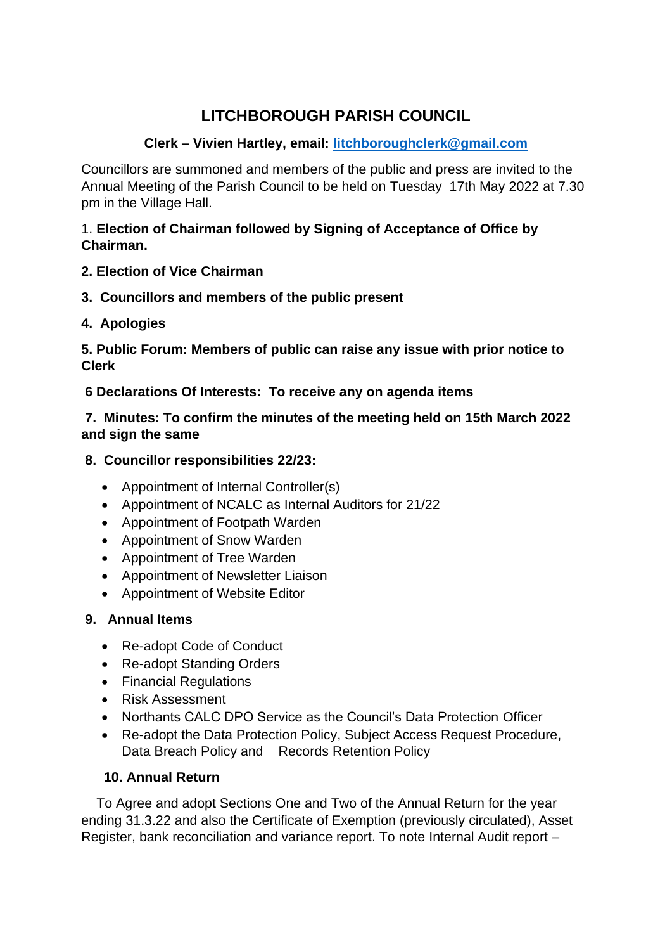# **LITCHBOROUGH PARISH COUNCIL**

# **Clerk – Vivien Hartley, email: [litchboroughclerk@gmail.com](mailto:litchboroughclerk@gmail.com)**

Councillors are summoned and members of the public and press are invited to the Annual Meeting of the Parish Council to be held on Tuesday 17th May 2022 at 7.30 pm in the Village Hall.

#### 1. **Election of Chairman followed by Signing of Acceptance of Office by Chairman.**

# **2. Election of Vice Chairman**

**3. Councillors and members of the public present** 

# **4. Apologies**

**5. Public Forum: Members of public can raise any issue with prior notice to Clerk** 

**6 Declarations Of Interests: To receive any on agenda items** 

#### **7. Minutes: To confirm the minutes of the meeting held on 15th March 2022 and sign the same**

- **8. Councillor responsibilities 22/23:** 
	- Appointment of Internal Controller(s)
	- Appointment of NCALC as Internal Auditors for 21/22
	- Appointment of Footpath Warden
	- Appointment of Snow Warden
	- Appointment of Tree Warden
	- Appointment of Newsletter Liaison
	- Appointment of Website Editor

# **9. Annual Items**

- Re-adopt Code of Conduct
- Re-adopt Standing Orders
- Financial Regulations
- Risk Assessment
- Northants CALC DPO Service as the Council's Data Protection Officer
- Re-adopt the Data Protection Policy, Subject Access Request Procedure, Data Breach Policy and Records Retention Policy

# **10. Annual Return**

 To Agree and adopt Sections One and Two of the Annual Return for the year ending 31.3.22 and also the Certificate of Exemption (previously circulated), Asset Register, bank reconciliation and variance report. To note Internal Audit report –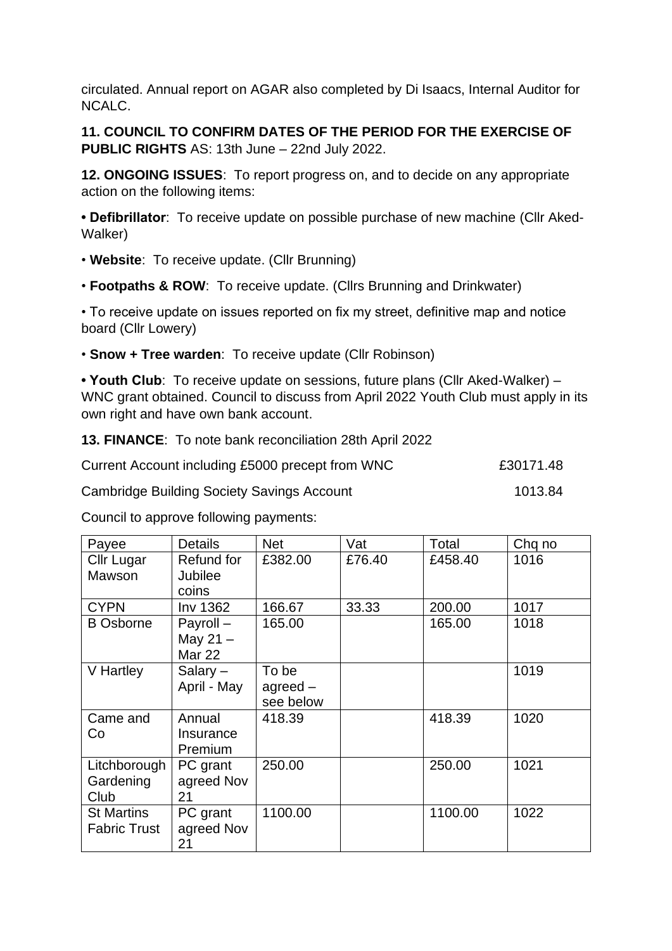circulated. Annual report on AGAR also completed by Di Isaacs, Internal Auditor for NCALC.

**11. COUNCIL TO CONFIRM DATES OF THE PERIOD FOR THE EXERCISE OF PUBLIC RIGHTS** AS: 13th June – 22nd July 2022.

**12. ONGOING ISSUES**: To report progress on, and to decide on any appropriate action on the following items:

**• Defibrillator**: To receive update on possible purchase of new machine (Cllr Aked-Walker)

• **Website**: To receive update. (Cllr Brunning)

• **Footpaths & ROW**: To receive update. (Cllrs Brunning and Drinkwater)

• To receive update on issues reported on fix my street, definitive map and notice board (Cllr Lowery)

• **Snow + Tree warden**: To receive update (Cllr Robinson)

**• Youth Club**: To receive update on sessions, future plans (Cllr Aked-Walker) – WNC grant obtained. Council to discuss from April 2022 Youth Club must apply in its own right and have own bank account.

**13. FINANCE**: To note bank reconciliation 28th April 2022

| Current Account including £5000 precept from WNC | £30171.48 |
|--------------------------------------------------|-----------|
|                                                  |           |

Cambridge Building Society Savings Account 1013.84

Council to approve following payments:

| Payee                                    | <b>Details</b>                          | <b>Net</b>                               | Vat    | Total   | Chq no |
|------------------------------------------|-----------------------------------------|------------------------------------------|--------|---------|--------|
| <b>Cllr Lugar</b><br>Mawson              | Refund for<br><b>Jubilee</b><br>coins   | £382.00                                  | £76.40 | £458.40 | 1016   |
| <b>CYPN</b>                              | Inv 1362                                | 166.67                                   | 33.33  | 200.00  | 1017   |
| <b>B</b> Osborne                         | Payroll-<br>May 21 $-$<br><b>Mar 22</b> | 165.00                                   |        | 165.00  | 1018   |
| V Hartley                                | Salary $-$<br>April - May               | To be<br>a <sub>green</sub><br>see below |        |         | 1019   |
| Came and<br>Co                           | Annual<br>Insurance<br>Premium          | 418.39                                   |        | 418.39  | 1020   |
| Litchborough<br>Gardening<br>Club        | PC grant<br>agreed Nov<br>21            | 250.00                                   |        | 250.00  | 1021   |
| <b>St Martins</b><br><b>Fabric Trust</b> | PC grant<br>agreed Nov<br>21            | 1100.00                                  |        | 1100.00 | 1022   |